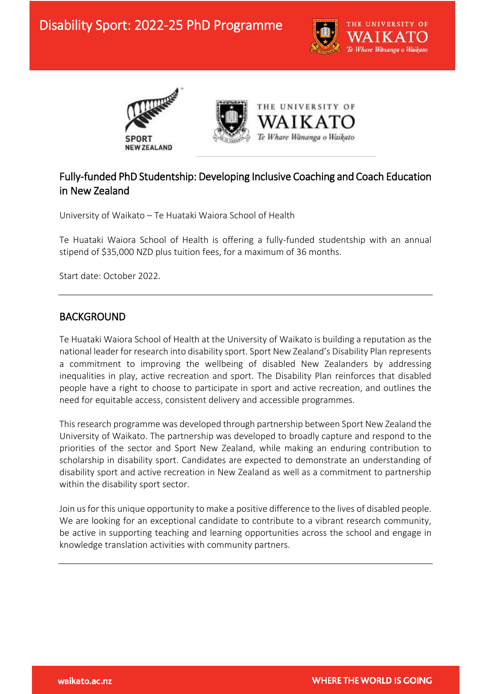





## Fully-funded PhD Studentship: Developing Inclusive Coaching and Coach Education in New Zealand

University of Waikato – Te Huataki Waiora School of Health

Te Huataki Waiora School of Health is offering a fully-funded studentship with an annual stipend of \$35,000 NZD plus tuition fees, for a maximum of 36 months.

Start date: October 2022.

### BACKGROUND

Ξ

Te Huataki Waiora School of Health at the University of Waikato is building a reputation as the national leader for research into disability sport. Sport New Zealand's Disability Plan represents a commitment to improving the wellbeing of disabled New Zealanders by addressing inequalities in play, active recreation and sport. The Disability Plan reinforces that disabled people have a right to choose to participate in sport and active recreation, and outlines the need for equitable access, consistent delivery and accessible programmes.

This research programme was developed through partnership between Sport New Zealand the University of Waikato. The partnership was developed to broadly capture and respond to the priorities of the sector and Sport New Zealand, while making an enduring contribution to scholarship in disability sport. Candidates are expected to demonstrate an understanding of disability sport and active recreation in New Zealand as well as a commitment to partnership within the disability sport sector.

Join us for this unique opportunity to make a positive difference to the lives of disabled people. We are looking for an exceptional candidate to contribute to a vibrant research community, be active in supporting teaching and learning opportunities across the school and engage in knowledge translation activities with community partners.